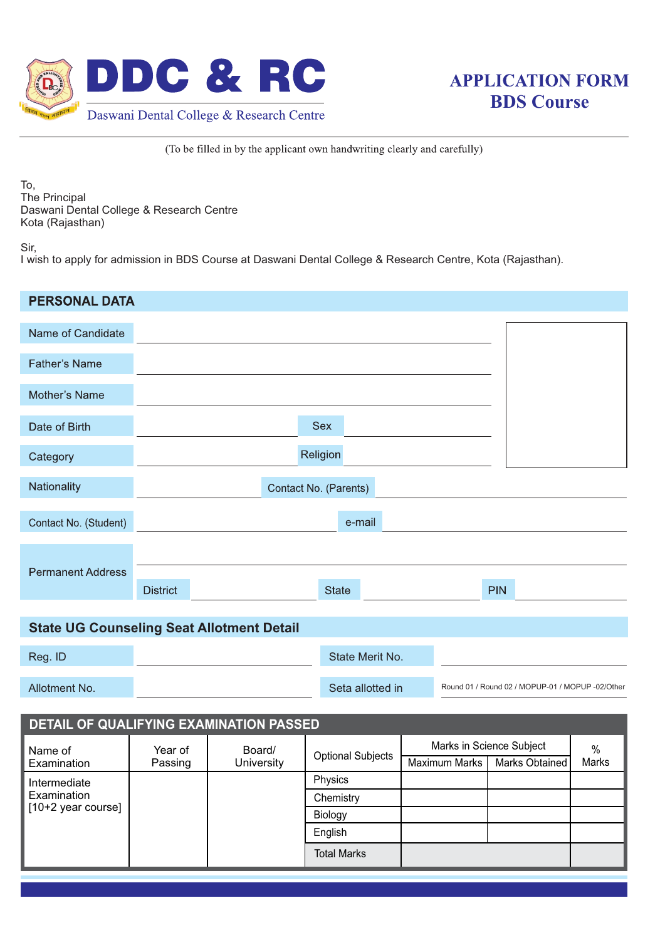



(To be filled in by the applicant own handwriting clearly and carefully)

To, The Principal Daswani Dental College & Research Centre Kota (Rajasthan)

Sir,

I wish to apply for admission in BDS Course at Daswani Dental College & Research Centre, Kota (Rajasthan).

| <b>PERSONAL DATA</b>                             |                                                                      |            |         |                                     |  |                          |            |                |       |  |
|--------------------------------------------------|----------------------------------------------------------------------|------------|---------|-------------------------------------|--|--------------------------|------------|----------------|-------|--|
| Name of Candidate                                |                                                                      |            |         |                                     |  |                          |            |                |       |  |
| <b>Father's Name</b>                             |                                                                      |            |         |                                     |  |                          |            |                |       |  |
| Mother's Name                                    |                                                                      |            |         |                                     |  |                          |            |                |       |  |
| Date of Birth                                    | Sex                                                                  |            |         |                                     |  |                          |            |                |       |  |
| Category                                         | Religion                                                             |            |         |                                     |  |                          |            |                |       |  |
| Nationality                                      |                                                                      |            |         | Contact No. (Parents)               |  |                          |            |                |       |  |
|                                                  |                                                                      |            |         |                                     |  |                          |            |                |       |  |
| Contact No. (Student)                            |                                                                      |            |         | e-mail                              |  |                          |            |                |       |  |
|                                                  |                                                                      |            |         |                                     |  |                          |            |                |       |  |
| <b>Permanent Address</b>                         | <b>District</b>                                                      |            |         | <b>State</b>                        |  |                          | <b>PIN</b> |                |       |  |
| <b>State UG Counseling Seat Allotment Detail</b> |                                                                      |            |         |                                     |  |                          |            |                |       |  |
|                                                  |                                                                      |            |         |                                     |  |                          |            |                |       |  |
| Reg. ID                                          | State Merit No.                                                      |            |         |                                     |  |                          |            |                |       |  |
| Allotment No.                                    | Seta allotted in<br>Round 01 / Round 02 / MOPUP-01 / MOPUP -02/Other |            |         |                                     |  |                          |            |                |       |  |
| DETAIL OF QUALIFYING EXAMINATION PASSED          |                                                                      |            |         |                                     |  |                          |            |                |       |  |
| Name of                                          | Year of                                                              | Board/     |         | <b>Optional Subjects</b><br>Physics |  | Marks in Science Subject |            |                | $\%$  |  |
| Examination<br>Intermediate                      | Passing                                                              | University |         |                                     |  | <b>Maximum Marks</b>     |            | Marks Obtained | Marks |  |
| Examination                                      |                                                                      |            |         | Chemistry                           |  |                          |            |                |       |  |
| [10+2 year course]                               |                                                                      |            | Biology |                                     |  |                          |            |                |       |  |
|                                                  |                                                                      |            | English |                                     |  |                          |            |                |       |  |
|                                                  |                                                                      |            |         | <b>Total Marks</b>                  |  |                          |            |                |       |  |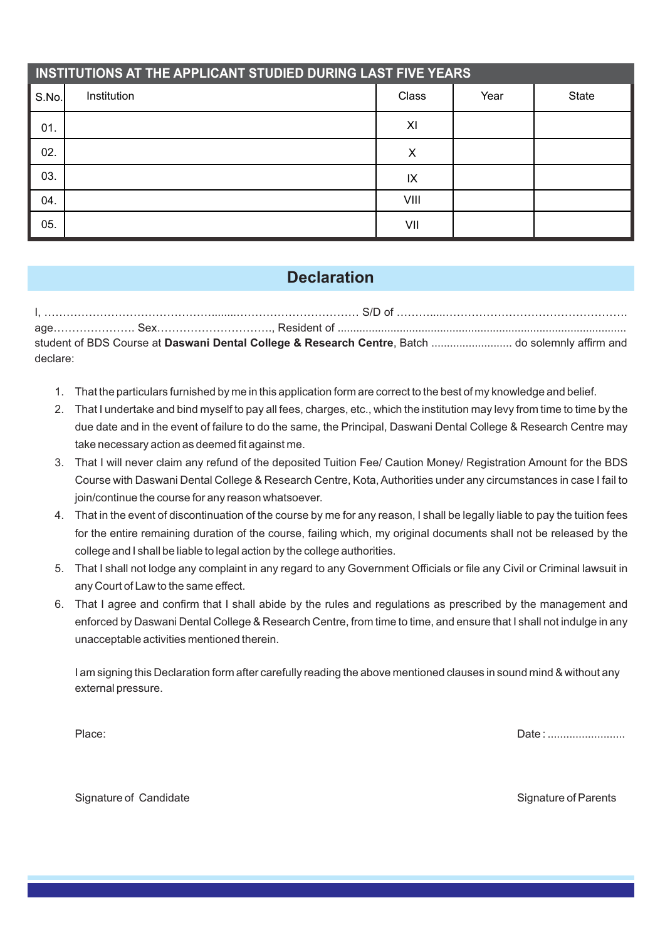| INSTITUTIONS AT THE APPLICANT STUDIED DURING LAST FIVE YEARS |             |       |      |       |  |  |  |  |  |
|--------------------------------------------------------------|-------------|-------|------|-------|--|--|--|--|--|
| S.No.                                                        | Institution | Class | Year | State |  |  |  |  |  |
| 01.                                                          |             | XI    |      |       |  |  |  |  |  |
| 02.                                                          |             | Х     |      |       |  |  |  |  |  |
| 03.                                                          |             | IX    |      |       |  |  |  |  |  |
| 04.                                                          |             | VIII  |      |       |  |  |  |  |  |
| 05.                                                          |             | VII   |      |       |  |  |  |  |  |

## **Declaration**

I, ………………………………………........…………………………… S/D of ……….....…………………………………………. age…………………. Sex…………………………., Resident of ............................................................................................. student of BDS Course at **Daswani Dental College & Research Centre**, Batch .......................... do solemnly affirm and declare:

- 1. That the particulars furnished by me in this application form are correct to the best of my knowledge and belief.
- 2. That I undertake and bind myself to pay all fees, charges, etc., which the institution may levy from time to time by the due date and in the event of failure to do the same, the Principal, Daswani Dental College & Research Centre may take necessary action as deemed fit against me.
- 3. That I will never claim any refund of the deposited Tuition Fee/ Caution Money/ Registration Amount for the BDS Course with Daswani Dental College & Research Centre, Kota, Authorities under any circumstances in case I fail to join/continue the course for any reason whatsoever.
- 4. That in the event of discontinuation of the course by me for any reason, I shall be legally liable to pay the tuition fees for the entire remaining duration of the course, failing which, my original documents shall not be released by the college and I shall be liable to legal action by the college authorities.
- 5. That I shall not lodge any complaint in any regard to any Government Officials or file any Civil or Criminal lawsuit in any Court of Law to the same effect.
- 6. That I agree and confirm that I shall abide by the rules and regulations as prescribed by the management and enforced by Daswani Dental College & Research Centre, from time to time, and ensure that I shall not indulge in any unacceptable activities mentioned therein.

I am signing this Declaration form after carefully reading the above mentioned clauses in sound mind & without any external pressure.

Place: Date : .........................

Signature of Candidate Signature of Parents Signature of Parents Signature of Parents